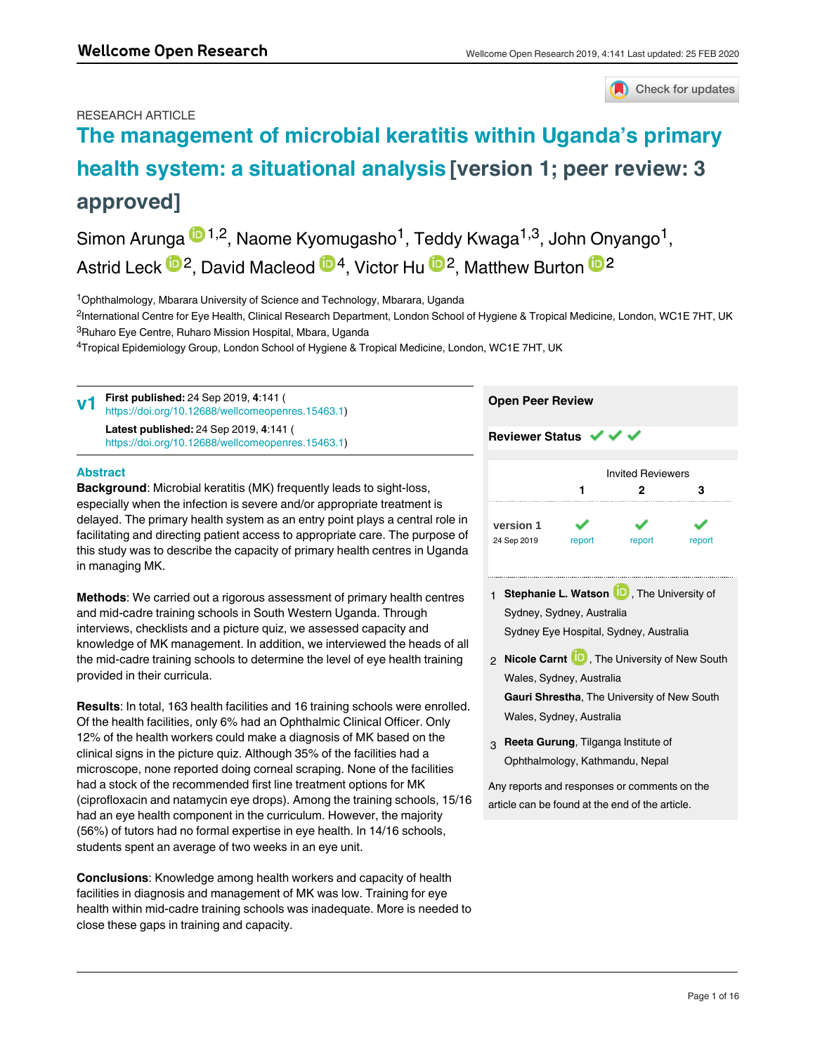## Check for updates

## RESEARCH ARTICLE

# **[The management of microbial keratitis within Uganda's primary](https://wellcomeopenresearch.org/articles/4-141/v1) [health system: a situational analysis](https://wellcomeopenresearch.org/articles/4-141/v1) [version 1; peer review: 3 approved]**

Simon Arunga <sup>in 1,2</sup>, Naome Kyomugasho<sup>1</sup>, Teddy Kwaga<sup>1,3</sup>, John Onyango<sup>1</sup>, Astrid Leck  $\mathbb{D}^2$ , David Macleod  $\mathbb{D}^4$ , Victor Hu  $\mathbb{D}^2$ , Matthew Burton  $\mathbb{D}^2$ 

<sup>1</sup>Ophthalmology, Mbarara University of Science and Technology, Mbarara, Uganda

<sup>2</sup>International Centre for Eye Health, Clinical Research Department, London School of Hygiene & Tropical Medicine, London, WC1E 7HT, UK <sup>3</sup>Ruharo Eye Centre, Ruharo Mission Hospital, Mbara, Uganda

 $^4$ Tropical Epidemiology Group, London School of Hygiene & Tropical Medicine, London, WC1E 7HT, UK

| V <sub>1</sub> | <b>First published:</b> 24 Sep 2019, 4:141 (<br>https://doi.org/10.12688/wellcomeopenres.15463.1) | <b>Open Peer Review</b>        |  |  |
|----------------|---------------------------------------------------------------------------------------------------|--------------------------------|--|--|
|                | Latest published: 24 Sep 2019, 4:141 (<br>https://doi.org/10.12688/wellcomeopenres.15463.1)       | Reviewer Status $\sqrt{\sqrt}$ |  |  |

#### **Abstract**

**Keywords** 

**Background**: Microbial keratitis (MK) frequently leads to sight-loss, especially when the infection is severe and/or appropriate treatment is delayed. The primary health system as an entry point plays a central role in facilitating and directing patient access to appropriate care. The purpose of this study was to describe the capacity of primary health centres in Uganda in managing MK.

**Methods**: We carried out a rigorous assessment of primary health centres and mid-cadre training schools in South Western Uganda. Through interviews, checklists and a picture quiz, we assessed capacity and knowledge of MK management. In addition, we interviewed the heads of all the mid-cadre training schools to determine the level of eye health training provided in their curricula.

**Results**: In total, 163 health facilities and 16 training schools were enrolled. Of the health facilities, only 6% had an Ophthalmic Clinical Officer. Only 12% of the health workers could make a diagnosis of MK based on the clinical signs in the picture quiz. Although 35% of the facilities had a microscope, none reported doing corneal scraping. None of the facilities had a stock of the recommended first line treatment options for MK (ciprofloxacin and natamycin eye drops). Among the training schools, 15/16 had an eye health component in the curriculum. However, the majority (56%) of tutors had no formal expertise in eye health. In 14/16 schools, students spent an average of two weeks in an eye unit.

**Conclusions**: Knowledge among health workers and capacity of health facilities in diagnosis and management of MK was low. Training for eye health within mid-cadre training schools was inadequate. More is needed to close these gaps in training and capacity.

|             |        | <b>Invited Reviewers</b> |        |
|-------------|--------|--------------------------|--------|
|             |        | 2                        | з      |
| version 1   |        |                          |        |
| 24 Sep 2019 | report | report                   | report |

1 **Stephanie L. Watson UP**, The University of Sydney, Sydney, Australia Sydney Eye Hospital, Sydney, Australia

- 2 **Nicole Carnt U.**, The University of New South Wales, Sydney, Australia **Gauri Shrestha**, The University of New South Wales, Sydney, Australia
- **Reeta Gurung**, Tilganga Institute of 3 Ophthalmology, Kathmandu, Nepal

Any reports and responses or comments on the article can be found at the end of the article.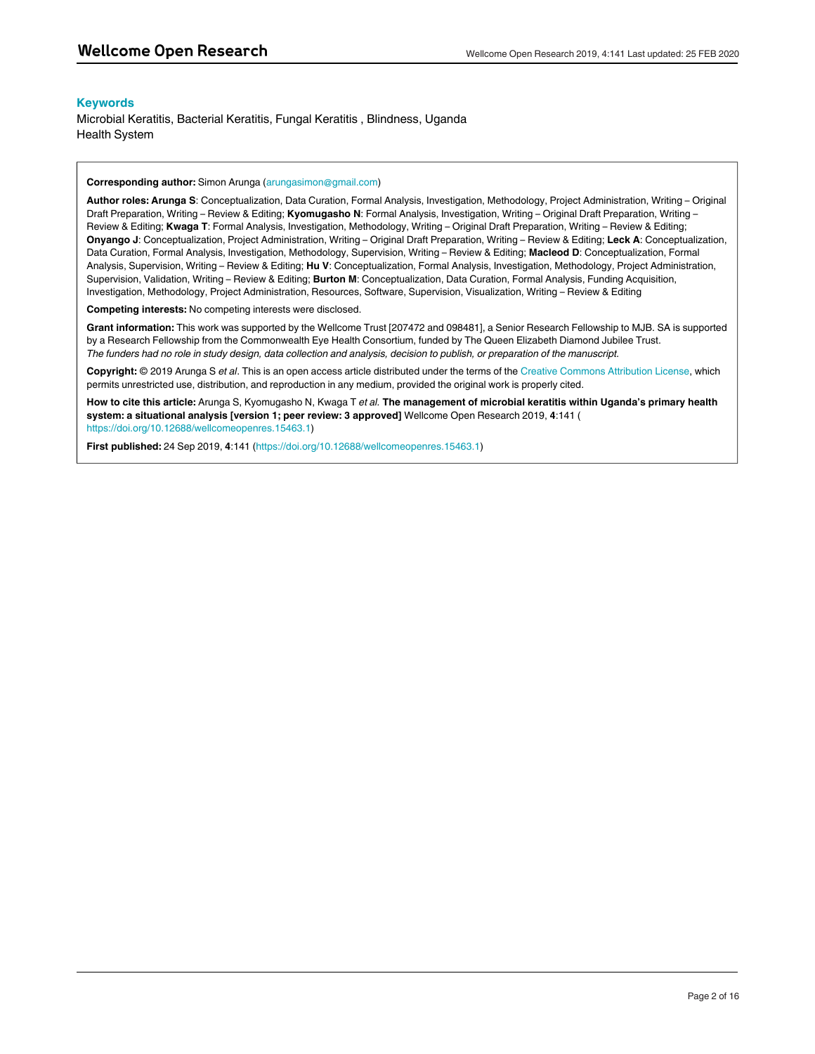#### **Keywords**

Microbial Keratitis, Bacterial Keratitis, Fungal Keratitis , Blindness, Uganda Health System

#### **Corresponding author:** Simon Arunga (arungasimon@gmail.com)

**Author roles: Arunga S**: Conceptualization, Data Curation, Formal Analysis, Investigation, Methodology, Project Administration, Writing – Original Draft Preparation, Writing – Review & Editing; **Kyomugasho N**: Formal Analysis, Investigation, Writing – Original Draft Preparation, Writing – Review & Editing; **Kwaga T**: Formal Analysis, Investigation, Methodology, Writing – Original Draft Preparation, Writing – Review & Editing; **Onyango J**: Conceptualization, Project Administration, Writing – Original Draft Preparation, Writing – Review & Editing; **Leck A**: Conceptualization, Data Curation, Formal Analysis, Investigation, Methodology, Supervision, Writing – Review & Editing; **Macleod D**: Conceptualization, Formal Analysis, Supervision, Writing – Review & Editing; **Hu V**: Conceptualization, Formal Analysis, Investigation, Methodology, Project Administration, Supervision, Validation, Writing – Review & Editing; **Burton M**: Conceptualization, Data Curation, Formal Analysis, Funding Acquisition, Investigation, Methodology, Project Administration, Resources, Software, Supervision, Visualization, Writing – Review & Editing

**Competing interests:** No competing interests were disclosed.

**Grant information:** This work was supported by the Wellcome Trust [207472 and 098481], a Senior Research Fellowship to MJB. SA is supported by a Research Fellowship from the Commonwealth Eye Health Consortium, funded by The Queen Elizabeth Diamond Jubilee Trust. *The funders had no role in study design, data collection and analysis, decision to publish, or preparation of the manuscript.*

**Copyright:** © 2019 Arunga S *et al*. This is an open access article distributed under the terms of the [Creative Commons Attribution License](http://creativecommons.org/licenses/by/4.0/), which permits unrestricted use, distribution, and reproduction in any medium, provided the original work is properly cited.

**How to cite this article:** Arunga S, Kyomugasho N, Kwaga T *et al.* **The management of microbial keratitis within Uganda's primary health system: a situational analysis [version 1; peer review: 3 approved]** Wellcome Open Research 2019, **4**:141 ( [https://doi.org/10.12688/wellcomeopenres.15463.1\)](https://doi.org/10.12688/wellcomeopenres.15463.1)

**First published:** 24 Sep 2019, **4**:141 [\(https://doi.org/10.12688/wellcomeopenres.15463.1\)](https://doi.org/10.12688/wellcomeopenres.15463.1)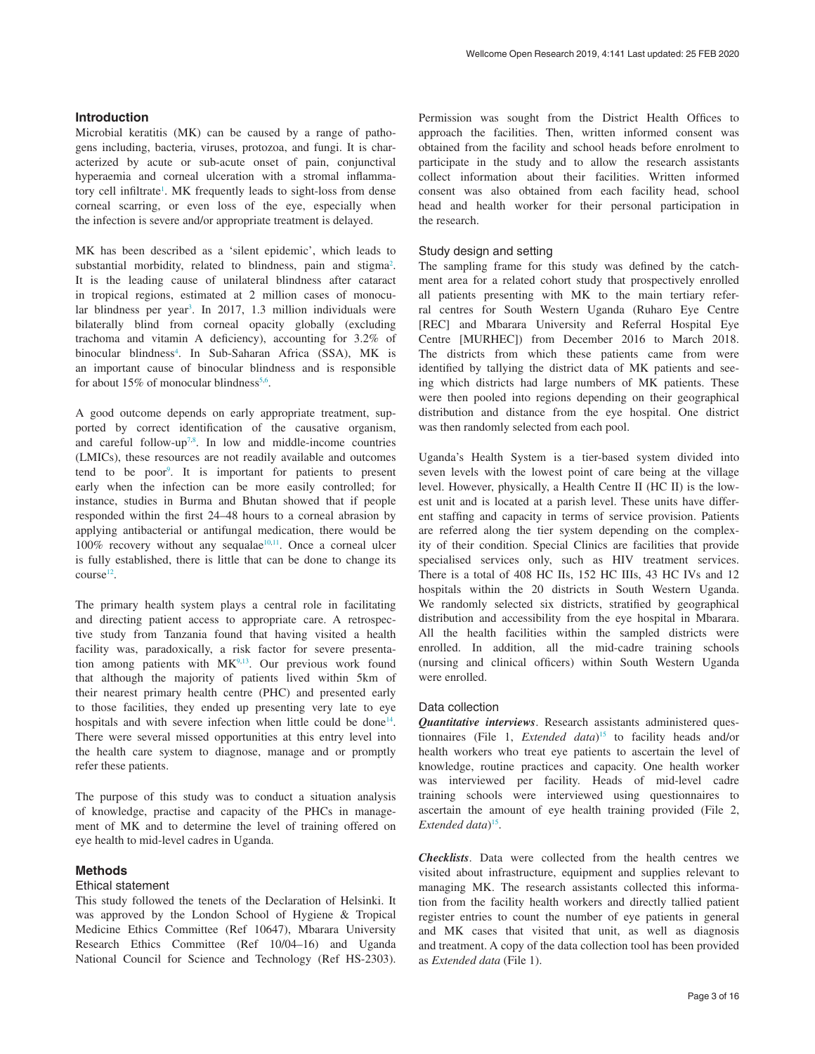#### **Introduction**

Microbial keratitis (MK) can be caused by a range of pathogens including, bacteria, viruses, protozoa, and fungi. It is characterized by acute or sub-acute onset of pain, conjunctival hyperaemia and corneal ulceration with a stromal inflammatory cell infiltrate<sup>1</sup>. MK frequently leads to sight-loss from dense corneal scarring, or even loss of the eye, especially when the infection is severe and/or appropriate treatment is delayed.

MK has been described as a 'silent epidemic', which leads to substantial morbidity, related to blindness, pain and stigma<sup>[2](#page-8-0)</sup>. It is the leading cause of unilateral blindness after cataract in tropical regions, estimated at 2 million cases of monocu-lar blindness per year<sup>[3](#page-8-0)</sup>. In 2017, 1.3 million individuals were bilaterally blind from corneal opacity globally (excluding trachoma and vitamin A deficiency), accounting for 3.2% of binocular blindness<sup>4</sup>. In Sub-Saharan Africa (SSA), MK is an important cause of binocular blindness and is responsible for about 15% of monocular blindness<sup>[5,6](#page-8-0)</sup>.

A good outcome depends on early appropriate treatment, supported by correct identification of the causative organism, and careful follow-up<sup>[7,8](#page-8-0)</sup>. In low and middle-income countries (LMICs), these resources are not readily available and outcomes tend to be poor<sup>9</sup>. It is important for patients to present early when the infection can be more easily controlled; for instance, studies in Burma and Bhutan showed that if people responded within the first 24–48 hours to a corneal abrasion by applying antibacterial or antifungal medication, there would be  $100\%$  recovery without any sequalae<sup>10,11</sup>. Once a corneal ulcer is fully established, there is little that can be done to change its  $course<sup>12</sup>$ .

The primary health system plays a central role in facilitating and directing patient access to appropriate care. A retrospective study from Tanzania found that having visited a health facility was, paradoxically, a risk factor for severe presentation among patients with  $MK<sup>9,13</sup>$  $MK<sup>9,13</sup>$  $MK<sup>9,13</sup>$ . Our previous work found that although the majority of patients lived within 5km of their nearest primary health centre (PHC) and presented early to those facilities, they ended up presenting very late to eye hospitals and with severe infection when little could be done<sup>14</sup>. There were several missed opportunities at this entry level into the health care system to diagnose, manage and or promptly refer these patients.

The purpose of this study was to conduct a situation analysis of knowledge, practise and capacity of the PHCs in management of MK and to determine the level of training offered on eye health to mid-level cadres in Uganda.

#### **Methods**

#### Ethical statement

This study followed the tenets of the Declaration of Helsinki. It was approved by the London School of Hygiene & Tropical Medicine Ethics Committee (Ref 10647), Mbarara University Research Ethics Committee (Ref 10/04–16) and Uganda National Council for Science and Technology (Ref HS-2303).

Permission was sought from the District Health Offices to approach the facilities. Then, written informed consent was obtained from the facility and school heads before enrolment to participate in the study and to allow the research assistants collect information about their facilities. Written informed consent was also obtained from each facility head, school head and health worker for their personal participation in the research.

#### Study design and setting

The sampling frame for this study was defined by the catchment area for a related cohort study that prospectively enrolled all patients presenting with MK to the main tertiary referral centres for South Western Uganda (Ruharo Eye Centre [REC] and Mbarara University and Referral Hospital Eye Centre [MURHEC]) from December 2016 to March 2018. The districts from which these patients came from were identified by tallying the district data of MK patients and seeing which districts had large numbers of MK patients. These were then pooled into regions depending on their geographical distribution and distance from the eye hospital. One district was then randomly selected from each pool.

Uganda's Health System is a tier-based system divided into seven levels with the lowest point of care being at the village level. However, physically, a Health Centre II (HC II) is the lowest unit and is located at a parish level. These units have different staffing and capacity in terms of service provision. Patients are referred along the tier system depending on the complexity of their condition. Special Clinics are facilities that provide specialised services only, such as HIV treatment services. There is a total of 408 HC IIs, 152 HC IIIs, 43 HC IVs and 12 hospitals within the 20 districts in South Western Uganda. We randomly selected six districts, stratified by geographical distribution and accessibility from the eye hospital in Mbarara. All the health facilities within the sampled districts were enrolled. In addition, all the mid-cadre training schools (nursing and clinical officers) within South Western Uganda were enrolled.

#### Data collection

*Quantitative interviews*. Research assistants administered questionnaires (File 1, *Extended data*) [15](#page-8-0) to facility heads and/or health workers who treat eye patients to ascertain the level of knowledge, routine practices and capacity. One health worker was interviewed per facility. Heads of mid-level cadre training schools were interviewed using questionnaires to ascertain the amount of eye health training provided (File 2, *Extended data*) [15.](#page-8-0)

*Checklists*. Data were collected from the health centres we visited about infrastructure, equipment and supplies relevant to managing MK. The research assistants collected this information from the facility health workers and directly tallied patient register entries to count the number of eye patients in general and MK cases that visited that unit, as well as diagnosis and treatment. A copy of the data collection tool has been provided as *Extended data* (File 1).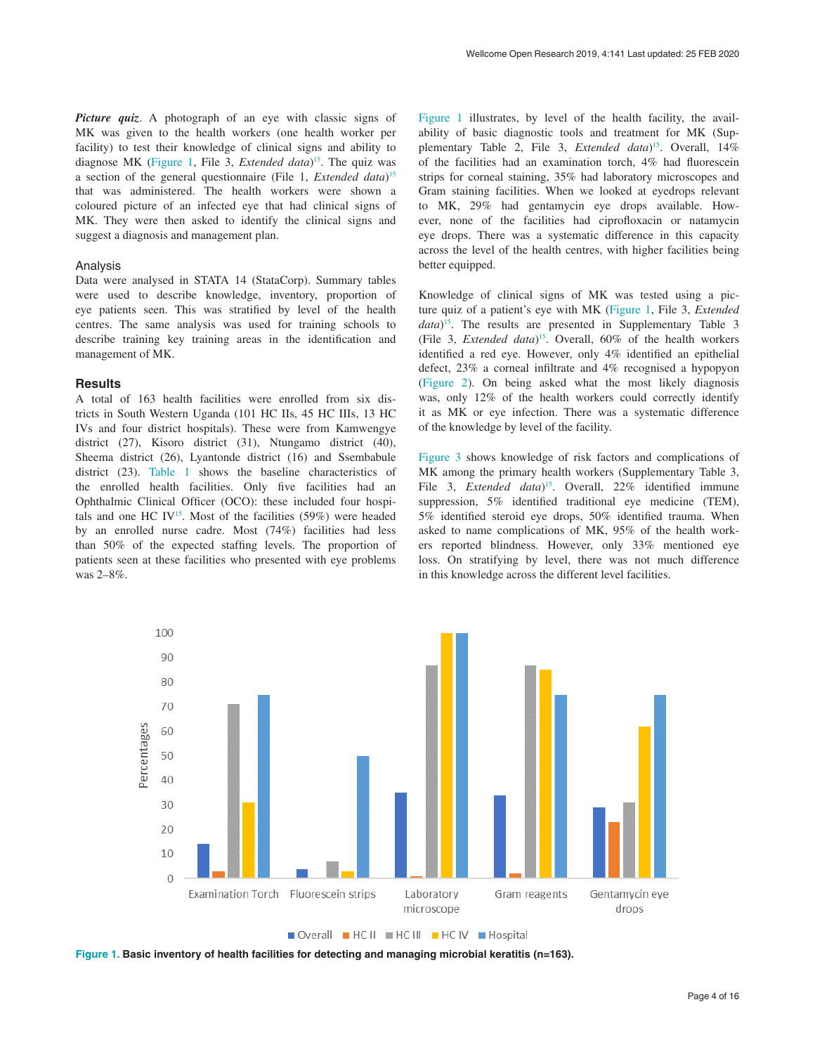*Picture quiz.* A photograph of an eye with classic signs of MK was given to the health workers (one health worker per facility) to test their knowledge of clinical signs and ability to diagnose MK (Figure 1, File 3, *Extended data*) [15.](#page-8-0) The quiz was a section of the general questionnaire (File 1, *Extended data*) [15](#page-8-0) that was administered. The health workers were shown a coloured picture of an infected eye that had clinical signs of MK. They were then asked to identify the clinical signs and suggest a diagnosis and management plan.

#### Analysis

Data were analysed in STATA 14 (StataCorp). Summary tables were used to describe knowledge, inventory, proportion of eye patients seen. This was stratified by level of the health centres. The same analysis was used for training schools to describe training key training areas in the identification and management of MK.

#### **Results**

A total of 163 health facilities were enrolled from six districts in South Western Uganda (101 HC IIs, 45 HC IIIs, 13 HC IVs and four district hospitals). These were from Kamwengye district (27), Kisoro district (31), Ntungamo district (40), Sheema district (26), Lyantonde district (16) and Ssembabule district (23). [Table 1](#page-4-0) shows the baseline characteristics of the enrolled health facilities. Only five facilities had an Ophthalmic Clinical Officer (OCO): these included four hospitals and one HC IV<sup>15</sup>. Most of the facilities  $(59\%)$  were headed by an enrolled nurse cadre. Most (74%) facilities had less than 50% of the expected staffing levels. The proportion of patients seen at these facilities who presented with eye problems was 2–8%.

Figure 1 illustrates, by level of the health facility, the availability of basic diagnostic tools and treatment for MK (Supplementary Table 2, File 3, *Extended data*<sup>15</sup>. Overall, 14% of the facilities had an examination torch, 4% had fluorescein strips for corneal staining, 35% had laboratory microscopes and Gram staining facilities. When we looked at eyedrops relevant to MK, 29% had gentamycin eye drops available. However, none of the facilities had ciprofloxacin or natamycin eye drops. There was a systematic difference in this capacity across the level of the health centres, with higher facilities being better equipped.

Knowledge of clinical signs of MK was tested using a picture quiz of a patient's eye with MK (Figure 1, File 3, *Extended data*) [15.](#page-8-0) The results are presented in Supplementary Table 3 (File 3, *Extended data*)[15](#page-8-0). Overall, 60% of the health workers identified a red eye. However, only 4% identified an epithelial defect, 23% a corneal infiltrate and 4% recognised a hypopyon ([Figure 2\)](#page-4-0). On being asked what the most likely diagnosis was, only 12% of the health workers could correctly identify it as MK or eye infection. There was a systematic difference of the knowledge by level of the facility.

[Figure 3](#page-5-0) shows knowledge of risk factors and complications of MK among the primary health workers (Supplementary Table 3, File 3, *Extended data*) [15](#page-8-0). Overall, 22% identified immune suppression, 5% identified traditional eye medicine (TEM), 5% identified steroid eye drops, 50% identified trauma. When asked to name complications of MK, 95% of the health workers reported blindness. However, only 33% mentioned eye loss. On stratifying by level, there was not much difference in this knowledge across the different level facilities.



**Figure 1. Basic inventory of health facilities for detecting and managing microbial keratitis (n=163).**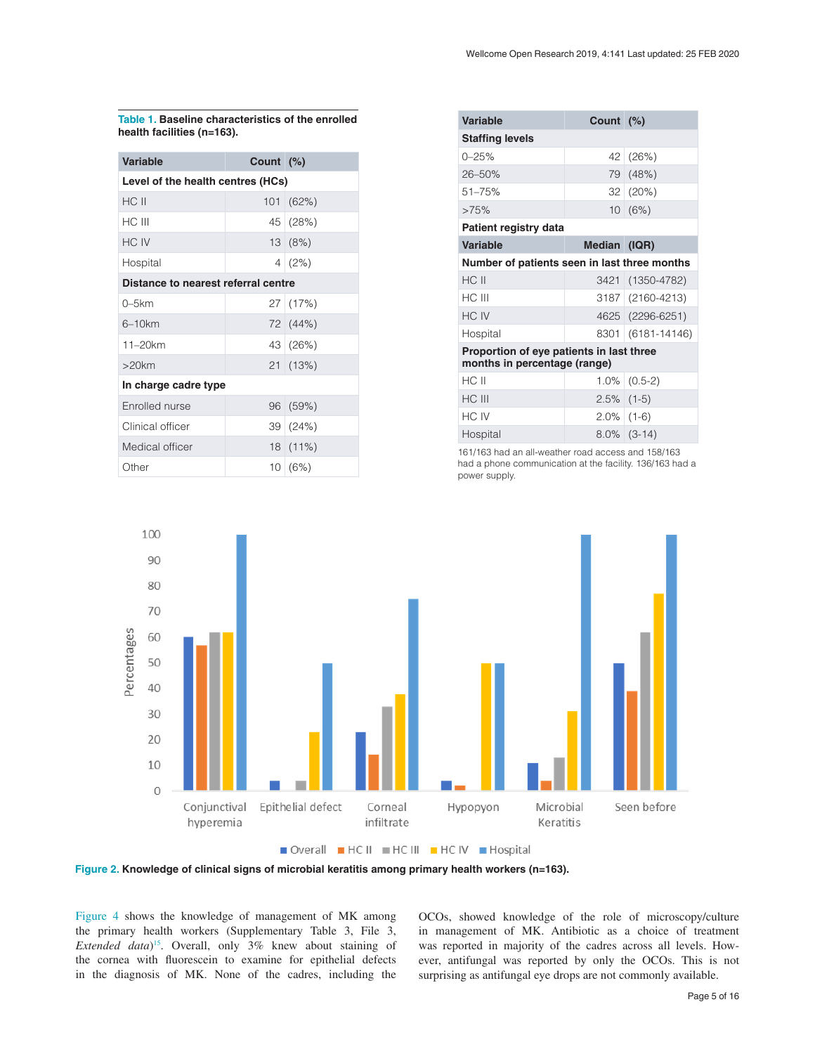<span id="page-4-0"></span>**Table 1. Baseline characteristics of the enrolled health facilities (n=163).**

| <b>Variable</b>                     | Count (%) |                  |  |  |  |
|-------------------------------------|-----------|------------------|--|--|--|
| Level of the health centres (HCs)   |           |                  |  |  |  |
| HC II                               | 101       | (62%)            |  |  |  |
| HC III                              |           | $45 \mid (28\%)$ |  |  |  |
| HC IV                               |           | 13(8%)           |  |  |  |
| Hospital                            |           | 4(2%)            |  |  |  |
| Distance to nearest referral centre |           |                  |  |  |  |
| $0-5km$                             |           | 27   (17%)       |  |  |  |
| 6–10km                              |           | 72 (44%)         |  |  |  |
| $11 - 20$ km                        |           | 43 (26%)         |  |  |  |
| $>20$ km                            |           | 21 (13%)         |  |  |  |
| In charge cadre type                |           |                  |  |  |  |
| Enrolled nurse                      | 96        | (59%)            |  |  |  |
| Clinical officer                    |           | 39 (24%)         |  |  |  |
| Medical officer                     |           | $18(11\%)$       |  |  |  |
| Other                               |           | 10(6%)           |  |  |  |

| <b>Variable</b>                                                          | Count (%)                |                  |  |  |
|--------------------------------------------------------------------------|--------------------------|------------------|--|--|
| <b>Staffing levels</b>                                                   |                          |                  |  |  |
| $0 - 25%$                                                                | 42                       | (26%)            |  |  |
| 26-50%                                                                   |                          | 79 (48%)         |  |  |
| $51 - 75%$                                                               |                          | $32   (20\%)$    |  |  |
| >75%                                                                     |                          | 10(6%)           |  |  |
| Patient registry data                                                    |                          |                  |  |  |
| <b>Variable</b>                                                          | Median (IQR)             |                  |  |  |
| Number of patients seen in last three months                             |                          |                  |  |  |
| HC II                                                                    |                          | 3421 (1350-4782) |  |  |
| HC III                                                                   |                          | 3187 (2160-4213) |  |  |
| HC IV                                                                    |                          | 4625 (2296-6251) |  |  |
| Hospital                                                                 | 8301<br>$(6181 - 14146)$ |                  |  |  |
| Proportion of eye patients in last three<br>months in percentage (range) |                          |                  |  |  |
| HC II                                                                    |                          | $1.0\%$ (0.5-2)  |  |  |
| HC III                                                                   | $2.5\%$ (1-5)            |                  |  |  |
| HC IV                                                                    | $2.0\%$ (1-6)            |                  |  |  |
| Hospital                                                                 |                          | $8.0\%$ (3-14)   |  |  |
| 161/162 had an all weather read access and 158/162                       |                          |                  |  |  |

161/163 had an all-weather road access and 158/163 had a phone communication at the facility. 136/163 had a power supply.



Overall HCII HCIII HCIV Hospital

**Figure 2. Knowledge of clinical signs of microbial keratitis among primary health workers (n=163).**

[Figure 4](#page-5-0) shows the knowledge of management of MK among the primary health workers (Supplementary Table 3, File 3, *Extended data*) [15.](#page-8-0) Overall, only 3% knew about staining of the cornea with fluorescein to examine for epithelial defects in the diagnosis of MK. None of the cadres, including the

OCOs, showed knowledge of the role of microscopy/culture in management of MK. Antibiotic as a choice of treatment was reported in majority of the cadres across all levels. However, antifungal was reported by only the OCOs. This is not surprising as antifungal eye drops are not commonly available.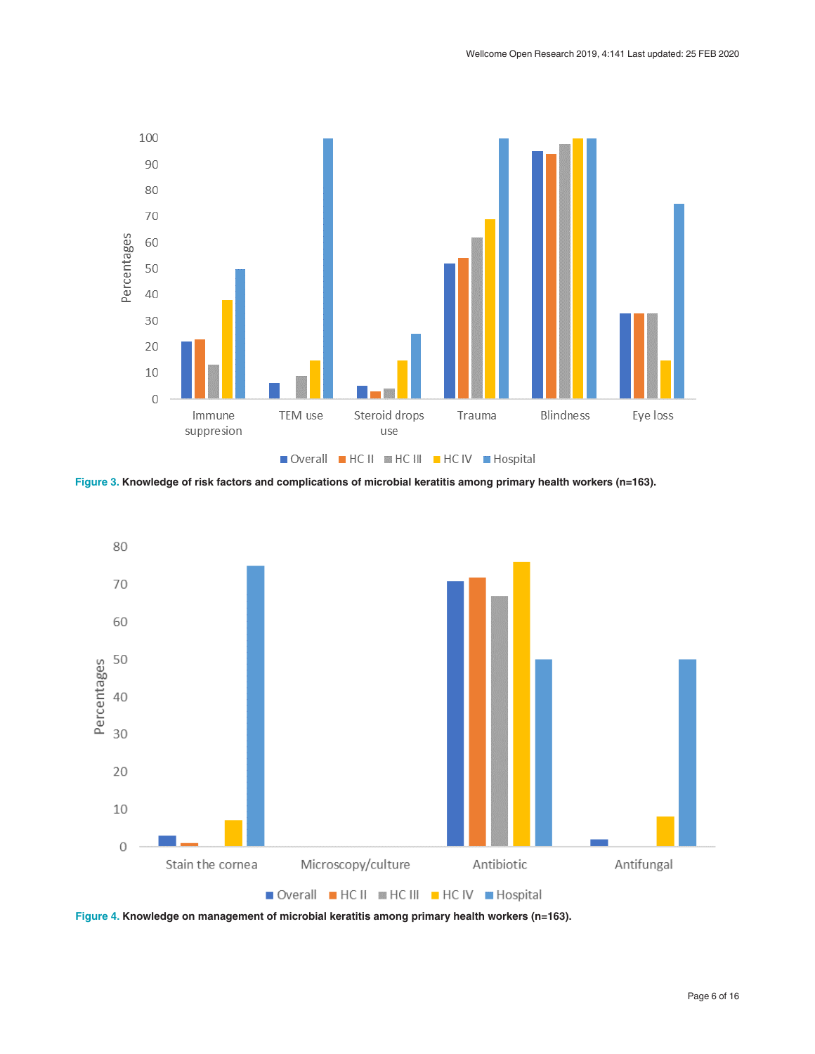<span id="page-5-0"></span>

**Figure 3. Knowledge of risk factors and complications of microbial keratitis among primary health workers (n=163).**



**Figure 4. Knowledge on management of microbial keratitis among primary health workers (n=163).**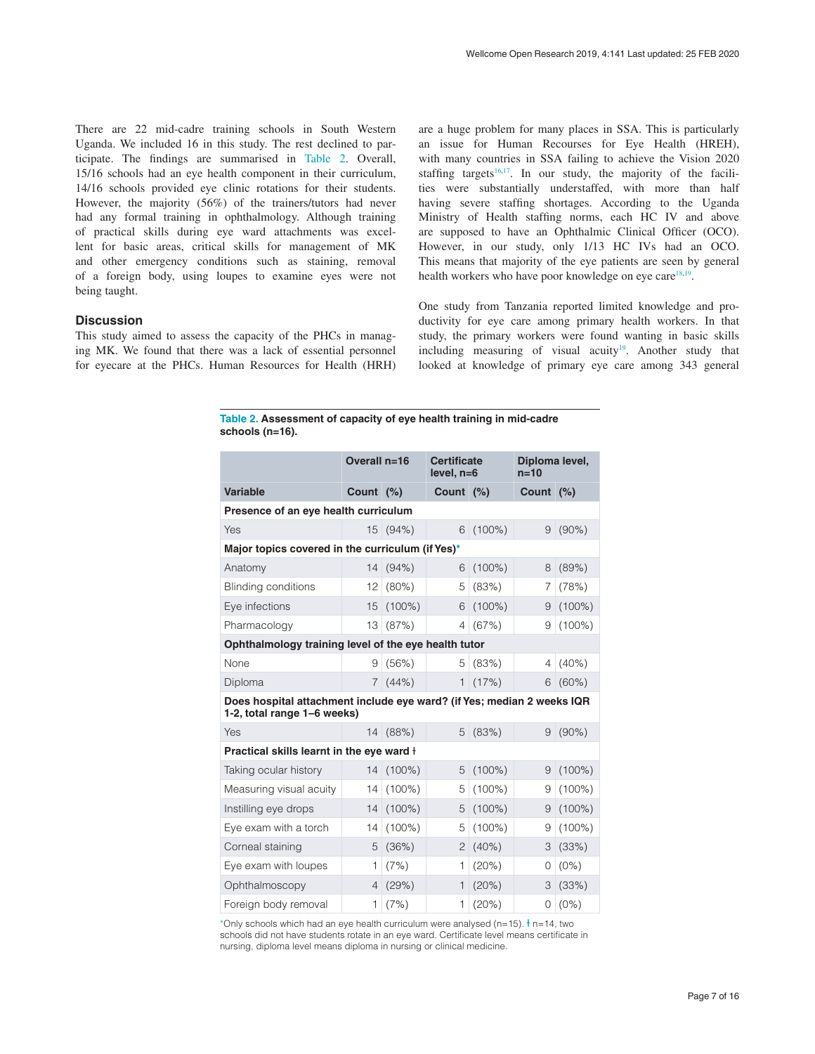There are 22 mid-cadre training schools in South Western Uganda. We included 16 in this study. The rest declined to participate. The findings are summarised in Table 2. Overall, 15/16 schools had an eye health component in their curriculum, 14/16 schools provided eye clinic rotations for their students. However, the majority (56%) of the trainers/tutors had never had any formal training in ophthalmology. Although training of practical skills during eye ward attachments was excellent for basic areas, critical skills for management of MK and other emergency conditions such as staining, removal of a foreign body, using loupes to examine eyes were not being taught.

#### **Discussion**

This study aimed to assess the capacity of the PHCs in managing MK. We found that there was a lack of essential personnel for eyecare at the PHCs. Human Resources for Health (HRH) are a huge problem for many places in SSA. This is particularly an issue for Human Recourses for Eye Health (HREH), with many countries in SSA failing to achieve the Vision 2020 staffing targets<sup>16,17</sup>. In our study, the majority of the facilities were substantially understaffed, with more than half having severe staffing shortages. According to the Uganda Ministry of Health staffing norms, each HC IV and above are supposed to have an Ophthalmic Clinical Officer (OCO). However, in our study, only 1/13 HC IVs had an OCO. This means that majority of the eye patients are seen by general health workers who have poor knowledge on eye care<sup>[18,19](#page-8-0)</sup>.

One study from Tanzania reported limited knowledge and productivity for eye care among primary health workers. In that study, the primary workers were found wanting in basic skills including measuring of visual acuity<sup>19</sup>. Another study that looked at knowledge of primary eye care among 343 general

**Table 2. Assessment of capacity of eye health training in mid-cadre schools (n=16).**

|                                                                                                       | Overall n=16   |           | <b>Certificate</b><br>$level, n=6$ |           | Diploma level,<br>$n=10$ |           |  |
|-------------------------------------------------------------------------------------------------------|----------------|-----------|------------------------------------|-----------|--------------------------|-----------|--|
| <b>Variable</b>                                                                                       | Count (%)      |           | Count (%)                          |           | Count $(%)$              |           |  |
| Presence of an eye health curriculum                                                                  |                |           |                                    |           |                          |           |  |
| Yes                                                                                                   |                | 15 (94%)  | 6                                  | $(100\%)$ | 9                        | $(90\%)$  |  |
| Major topics covered in the curriculum (if Yes)*                                                      |                |           |                                    |           |                          |           |  |
| Anatomy                                                                                               | 14             | (94%)     | 6                                  | $(100\%)$ | 8                        | (89%)     |  |
| <b>Blinding conditions</b>                                                                            | 12             | $(80\%)$  | 5                                  | (83%)     | 7                        | (78%)     |  |
| Eye infections                                                                                        | 15             | $(100\%)$ | 6                                  | $(100\%)$ | 9                        | $(100\%)$ |  |
| Pharmacology                                                                                          | 13             | (87%)     | 4                                  | (67%)     | 9                        | $(100\%)$ |  |
| Ophthalmology training level of the eye health tutor                                                  |                |           |                                    |           |                          |           |  |
| None                                                                                                  | 9              | (56%)     | 5                                  | (83%)     | 4                        | (40%)     |  |
| Diploma                                                                                               | $\overline{7}$ | (44% )    | $\mathbf{1}$                       | (17%)     | 6                        | $(60\%)$  |  |
| Does hospital attachment include eye ward? (if Yes; median 2 weeks IQR<br>1-2, total range 1-6 weeks) |                |           |                                    |           |                          |           |  |
| Yes                                                                                                   |                | 14 (88%)  | 5                                  | (83%)     | 9                        | $(90\%)$  |  |
| Practical skills learnt in the eye ward +                                                             |                |           |                                    |           |                          |           |  |
| Taking ocular history                                                                                 |                | 14 (100%) | 5                                  | $(100\%)$ | 9                        | $(100\%)$ |  |
| Measuring visual acuity                                                                               | 14             | $(100\%)$ | 5                                  | $(100\%)$ | 9                        | $(100\%)$ |  |
| Instilling eye drops                                                                                  | 14             | $(100\%)$ | 5                                  | $(100\%)$ | 9                        | $(100\%)$ |  |
| Eye exam with a torch                                                                                 | 14             | $(100\%)$ | 5                                  | $(100\%)$ | 9                        | $(100\%)$ |  |
| Corneal staining                                                                                      | 5              | (36%)     | $\overline{2}$                     | (40%)     | 3                        | (33%)     |  |
| Eye exam with loupes                                                                                  | 1              | (7%)      | 1                                  | (20%)     | 0                        | $(0\%)$   |  |
| Ophthalmoscopy                                                                                        | $\overline{4}$ | (29%)     | $\mathbf{1}$                       | (20%)     | 3                        | (33%)     |  |
| Foreign body removal                                                                                  | 1              | (7%)      | 1                                  | (20%)     | 0                        | $(0\%)$   |  |

\*Only schools which had an eye health curriculum were analysed (n=15).  $\dagger$  n=14, two schools did not have students rotate in an eye ward. Certificate level means certificate in nursing, diploma level means diploma in nursing or clinical medicine.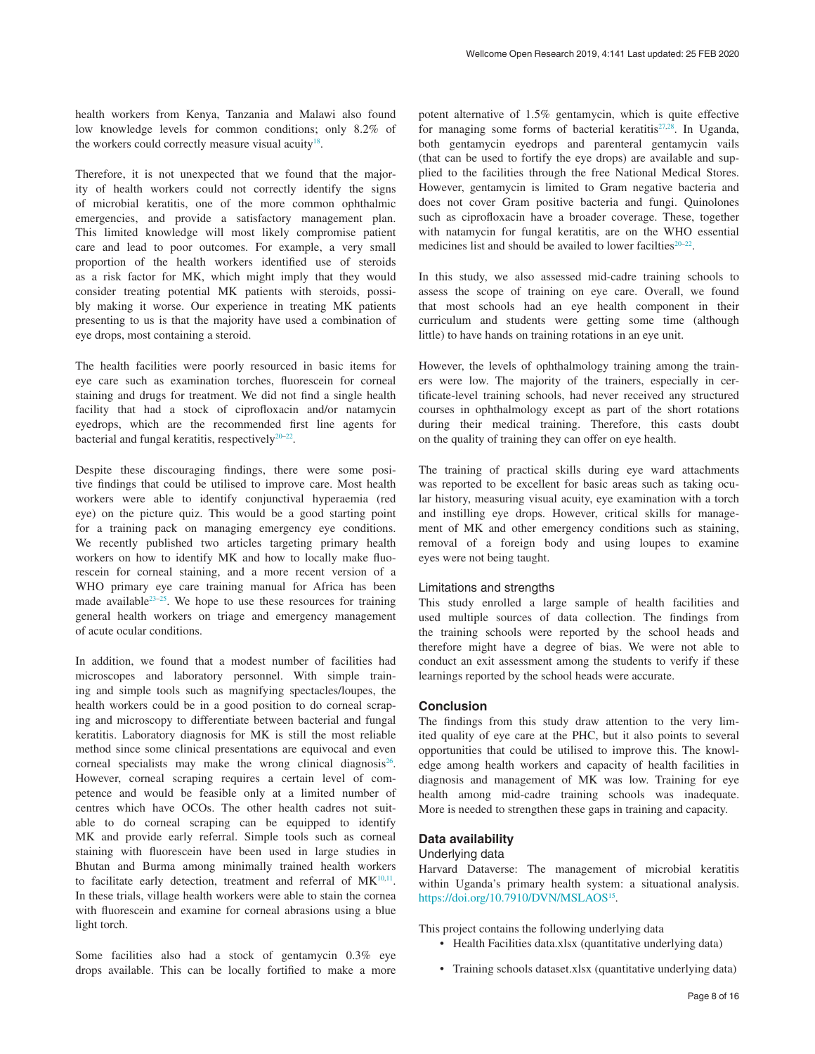health workers from Kenya, Tanzania and Malawi also found low knowledge levels for common conditions; only 8.2% of the workers could correctly measure visual acuity<sup>18</sup>.

Therefore, it is not unexpected that we found that the majority of health workers could not correctly identify the signs of microbial keratitis, one of the more common ophthalmic emergencies, and provide a satisfactory management plan. This limited knowledge will most likely compromise patient care and lead to poor outcomes. For example, a very small proportion of the health workers identified use of steroids as a risk factor for MK, which might imply that they would consider treating potential MK patients with steroids, possibly making it worse. Our experience in treating MK patients presenting to us is that the majority have used a combination of eye drops, most containing a steroid.

The health facilities were poorly resourced in basic items for eye care such as examination torches, fluorescein for corneal staining and drugs for treatment. We did not find a single health facility that had a stock of ciprofloxacin and/or natamycin eyedrops, which are the recommended first line agents for bacterial and fungal keratitis, respectively $20-22$ .

Despite these discouraging findings, there were some positive findings that could be utilised to improve care. Most health workers were able to identify conjunctival hyperaemia (red eye) on the picture quiz. This would be a good starting point for a training pack on managing emergency eye conditions. We recently published two articles targeting primary health workers on how to identify MK and how to locally make fluorescein for corneal staining, and a more recent version of a WHO primary eye care training manual for Africa has been made available $2^{3-25}$ . We hope to use these resources for training general health workers on triage and emergency management of acute ocular conditions.

In addition, we found that a modest number of facilities had microscopes and laboratory personnel. With simple training and simple tools such as magnifying spectacles/loupes, the health workers could be in a good position to do corneal scraping and microscopy to differentiate between bacterial and fungal keratitis. Laboratory diagnosis for MK is still the most reliable method since some clinical presentations are equivocal and even corneal specialists may make the wrong clinical diagnosis<sup>26</sup>. However, corneal scraping requires a certain level of competence and would be feasible only at a limited number of centres which have OCOs. The other health cadres not suitable to do corneal scraping can be equipped to identify MK and provide early referral. Simple tools such as corneal staining with fluorescein have been used in large studies in Bhutan and Burma among minimally trained health workers to facilitate early detection, treatment and referral of  $MK^{10,11}$  $MK^{10,11}$  $MK^{10,11}$ . In these trials, village health workers were able to stain the cornea with fluorescein and examine for corneal abrasions using a blue light torch.

Some facilities also had a stock of gentamycin 0.3% eye drops available. This can be locally fortified to make a more potent alternative of 1.5% gentamycin, which is quite effective for managing some forms of bacterial keratitis<sup>[27,28](#page-8-0)</sup>. In Uganda, both gentamycin eyedrops and parenteral gentamycin vails (that can be used to fortify the eye drops) are available and supplied to the facilities through the free National Medical Stores. However, gentamycin is limited to Gram negative bacteria and does not cover Gram positive bacteria and fungi. Quinolones such as ciprofloxacin have a broader coverage. These, together with natamycin for fungal keratitis, are on the WHO essential medicines list and should be availed to lower facilties<sup>20-22</sup>.

In this study, we also assessed mid-cadre training schools to assess the scope of training on eye care. Overall, we found that most schools had an eye health component in their curriculum and students were getting some time (although little) to have hands on training rotations in an eye unit.

However, the levels of ophthalmology training among the trainers were low. The majority of the trainers, especially in certificate-level training schools, had never received any structured courses in ophthalmology except as part of the short rotations during their medical training. Therefore, this casts doubt on the quality of training they can offer on eye health.

The training of practical skills during eye ward attachments was reported to be excellent for basic areas such as taking ocular history, measuring visual acuity, eye examination with a torch and instilling eye drops. However, critical skills for management of MK and other emergency conditions such as staining, removal of a foreign body and using loupes to examine eyes were not being taught.

#### Limitations and strengths

This study enrolled a large sample of health facilities and used multiple sources of data collection. The findings from the training schools were reported by the school heads and therefore might have a degree of bias. We were not able to conduct an exit assessment among the students to verify if these learnings reported by the school heads were accurate.

#### **Conclusion**

The findings from this study draw attention to the very limited quality of eye care at the PHC, but it also points to several opportunities that could be utilised to improve this. The knowledge among health workers and capacity of health facilities in diagnosis and management of MK was low. Training for eye health among mid-cadre training schools was inadequate. More is needed to strengthen these gaps in training and capacity.

#### **Data availability**

#### Underlying data

Harvard Dataverse: The management of microbial keratitis within Uganda's primary health system: a situational analysis. <https://doi.org/10.7910/DVN/MSLAOS><sup>[15](#page-8-0)</sup>.

This project contains the following underlying data

- Health Facilities data.xlsx (quantitative underlying data)
- Training schools dataset.xlsx (quantitative underlying data)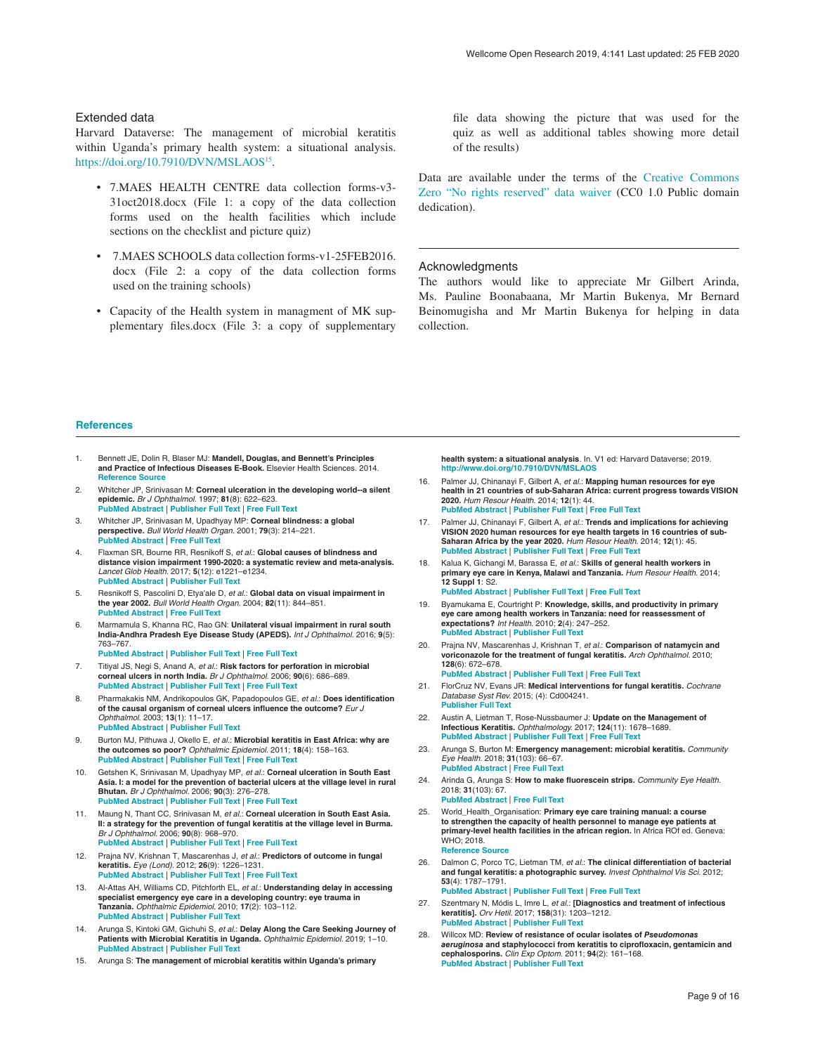#### <span id="page-8-0"></span>Extended data

Harvard Dataverse: The management of microbial keratitis within Uganda's primary health system: a situational analysis. <https://doi.org/10.7910/DVN/MSLAOS><sup>15</sup>.

- 7.MAES HEALTH CENTRE data collection forms-v3- 31oct2018.docx (File 1: a copy of the data collection forms used on the health facilities which include sections on the checklist and picture quiz)
- 7.MAES SCHOOLS data collection forms-v1-25FEB2016. docx (File 2: a copy of the data collection forms used on the training schools)
- Capacity of the Health system in managment of MK supplementary files.docx (File 3: a copy of supplementary

file data showing the picture that was used for the quiz as well as additional tables showing more detail of the results)

Data are available under the terms of the [Creative Commons](http://creativecommons.org/publicdomain/zero/1.0/)  [Zero "No rights reserved" data waiver](http://creativecommons.org/publicdomain/zero/1.0/) (CC0 1.0 Public domain dedication).

#### Acknowledgments

The authors would like to appreciate Mr Gilbert Arinda, Ms. Pauline Boonabaana, Mr Martin Bukenya, Mr Bernard Beinomugisha and Mr Martin Bukenya for helping in data collection.

#### **References**

- 1. Bennett JE, Dolin R, Blaser MJ: **Mandell, Douglas, and Bennett's Principles and Practice of Infectious Diseases E-Book.** Elsevier Health Sciences. 2014. **Reference** Source
- 2. Whitcher JP, Srinivasan M: **Corneal ulceration in the developing world--a silent epidemic.** *Br J Ophthalmol.* 1997; **81**(8): 622–623. **[PubMed Abstract](http://www.ncbi.nlm.nih.gov/pubmed/9349145)** | **[Publisher Full Text](http://dx.doi.org/10.1136/bjo.81.8.622)** | **[Free Full Text](http://www.ncbi.nlm.nih.gov/pmc/articles/1722289)**
- 3. Whitcher JP, Srinivasan M, Upadhyay MP: **Corneal blindness: a global perspective.** *Bull World Health Organ.* 2001; **79**(3): 214–221. **[PubMed Abstract](http://www.ncbi.nlm.nih.gov/pubmed/11285665)** | **[Free Full Text](http://www.ncbi.nlm.nih.gov/pmc/articles/2566379)**
- 4. Flaxman SR, Bourne RR, Resnikoff S, *et al.*: **Global causes of blindness and distance vision impairment 1990-2020: a systematic review and meta-analysis.** *Lancet Glob Health.* 2017; **5**(12): e1221–e1234. **[PubMed Abstract](http://www.ncbi.nlm.nih.gov/pubmed/29032195)** | **[Publisher Full Text](http://dx.doi.org/10.1016/S2214-109X(17)30393-5)**
- 5. Resnikoff S, Pascolini D, Etya'ale D, *et al.*: **Global data on visual impairment in the year 2002.** *Bull World Health Organ.* 2004; **82**(11): 844–851. **[PubMed Abstract](http://www.ncbi.nlm.nih.gov/pubmed/15640920)** | **[Free Full Text](http://www.ncbi.nlm.nih.gov/pmc/articles/2623053)**
- 6. Marmamula S, Khanna RC, Rao GN: **Unilateral visual impairment in rural south India-Andhra Pradesh Eye Disease Study (APEDS).** *Int J Ophthalmol.* 2016; **9**(5): 763–767. **[PubMed Abstract](http://www.ncbi.nlm.nih.gov/pubmed/27275437)** | **[Publisher Full Text](http://dx.doi.org/10.18240/ijo.2016.05.23)** | **[Free Full Text](http://www.ncbi.nlm.nih.gov/pmc/articles/4886893)**
- Titiyal JS, Negi S, Anand A, et al.: Risk factors for perforation in microbial **corneal ulcers in north India.** *Br J Ophthalmol.* 2006; **90**(6): 686–689. **[PubMed Abstract](http://www.ncbi.nlm.nih.gov/pubmed/16531425)** | **[Publisher Full Text](http://dx.doi.org/10.1136/bjo.2005.079533)** | **[Free Full Text](http://www.ncbi.nlm.nih.gov/pmc/articles/1860223)**
- 8. Pharmakakis NM, Andrikopoulos GK, Papadopoulos GE, *et al.*: **Does identification of the causal organism of corneal ulcers influence the outcome?** *Eur J Ophthalmol.* 2003; **13**(1): 11–17. **[PubMed Abstract](http://www.ncbi.nlm.nih.gov/pubmed/12635669)** | **[Publisher Full Text](http://dx.doi.org/10.1177/112067210301300102)**
- Burton MJ, Pithuwa J, Okello E, et al.: Microbial keratitis in East Africa: why are **the outcomes so poor?** *Ophthalmic Epidemiol.* 2011; **18**(4): 158–163. **[PubMed Abstract](http://www.ncbi.nlm.nih.gov/pubmed/21780874)** | **[Publisher Full Text](http://dx.doi.org/10.3109/09286586.2011.595041)** | **[Free Full Text](http://www.ncbi.nlm.nih.gov/pmc/articles/3670402)**
- 10. Getshen K, Srinivasan M, Upadhyay MP, *et al.*: **Corneal ulceration in South East Asia. I: a model for the prevention of bacterial ulcers at the village level in rural Bhutan.** *Br J Ophthalmol.* 2006; **90**(3): 276–278. **[PubMed Abstract](http://www.ncbi.nlm.nih.gov/pubmed/16488943)** | **[Publisher Full Text](http://dx.doi.org/10.1136/bjo.2005.076083)** | **[Free Full Text](http://www.ncbi.nlm.nih.gov/pmc/articles/1856957)**
- 11. Maung N, Thant CC, Srinivasan M, *et al.*: **Corneal ulceration in South East Asia. II: a strategy for the prevention of fungal keratitis at the village level in Burma.** *Br J Ophthalmol.* 2006; **90**(8): 968–970. **[PubMed Abstract](http://www.ncbi.nlm.nih.gov/pubmed/16707522)** | **[Publisher Full Text](http://dx.doi.org/10.1136/bjo.2006.094706)** | **[Free Full Text](http://www.ncbi.nlm.nih.gov/pmc/articles/1857195)**
- 12. Prajna NV, Krishnan T, Mascarenhas J, *et al.*: **Predictors of outcome in fungal keratitis.** *Eye (Lond).* 2012; **26**(9): 1226–1231. **[PubMed Abstract](http://www.ncbi.nlm.nih.gov/pubmed/22744392)** | **[Publisher Full Text](http://dx.doi.org/10.1038/eye.2012.99)** | **[Free Full Text](http://www.ncbi.nlm.nih.gov/pmc/articles/3443844)**
- 13. Al-Attas AH, Williams CD, Pitchforth EL, *et al.*: **Understanding delay in accessing specialist emergency eye care in a developing country: eye trauma in Tanzania.** *Ophthalmic Epidemiol.* 2010; **17**(2): 103–112. **[PubMed Abstract](http://www.ncbi.nlm.nih.gov/pubmed/20132093)** | **[Publisher Full Text](http://dx.doi.org/10.3109/09286580903453522)**
- 14. Arunga S, Kintoki GM, Gichuhi S, *et al.*: **Delay Along the Care Seeking Journey of Patients with Microbial Keratitis in Uganda.** *Ophthalmic Epidemiol.* 2019; 1–10. **[PubMed Abstract](http://www.ncbi.nlm.nih.gov/pubmed/31088316)** | **[Publisher Full Text](http://dx.doi.org/10.1080/09286586.2019.1616775)**
- 15. Arunga S: **The management of microbial keratitis within Uganda's primary**

**health system: a situational analysis**. In. V1 ed: Harvard Dataverse; 2019. **<http://www.doi.org/10.7910/DVN/MSLAOS>**

- 16. Palmer JJ, Chinanayi F, Gilbert A, *et al.*: **Mapping human resources for eye health in 21 countries of sub-Saharan Africa: current progress towards VISION 2020.** *Hum Resour Health.* 2014; **12**(1): 44. **[PubMed Abstract](http://www.ncbi.nlm.nih.gov/pubmed/25128163)** | **[Publisher Full Text](http://dx.doi.org/10.1186/1478-4491-12-44)** | **[Free Full Text](http://www.ncbi.nlm.nih.gov/pmc/articles/4237800)**
- 17. Palmer JJ, Chinanayi F, Gilbert A, *et al.*: **Trends and implications for achieving VISION 2020 human resources for eye health targets in 16 countries of sub-Saharan Africa by the year 2020.** *Hum Resour Health.* 2014; **12**(1): 45. **[PubMed Abstract](http://www.ncbi.nlm.nih.gov/pubmed/25128287)** | **[Publisher Full Text](http://dx.doi.org/10.1186/1478-4491-12-45)** | **[Free Full Text](http://www.ncbi.nlm.nih.gov/pmc/articles/4237790)**
- 18. Kalua K, Gichangi M, Barassa E, *et al.*: **Skills of general health workers in primary eye care in Kenya, Malawi and Tanzania.** *Hum Resour Health.* 2014; **12 Suppl 1**: S2. **[PubMed Abstract](http://www.ncbi.nlm.nih.gov/pubmed/25860909)** | **[Publisher Full Text](http://dx.doi.org/10.1186/1478-4491-12-S1-S2)** | **[Free Full Text](http://www.ncbi.nlm.nih.gov/pmc/articles/4108885)**
- 19. Byamukama E, Courtright P: **Knowledge, skills, and productivity in primary eye care among health workers in Tanzania: need for reassessment of expectations?** *Int Health.* 2010; **2**(4): 247–252. **[PubMed Abstract](http://www.ncbi.nlm.nih.gov/pubmed/24037865)** | **[Publisher Full Text](http://dx.doi.org/10.1016/j.inhe.2010.07.008)**
- 20. Prajna NV, Mascarenhas J, Krishnan T, *et al.*: **Comparison of natamycin and voriconazole for the treatment of fungal keratitis.** *Arch Ophthalmol.* 2010; **128**(6): 672–678. **[PubMed Abstract](http://www.ncbi.nlm.nih.gov/pubmed/20547942)** | **[Publisher Full Text](http://dx.doi.org/10.1001/archophthalmol.2010.102)** | **[Free Full Text](http://www.ncbi.nlm.nih.gov/pmc/articles/3774126)**
- 21. FlorCruz NV, Evans JR: **Medical interventions for fungal keratitis.** *Cochrane Database Syst Rev.* 2015; (4): Cd004241. **[Publisher Full Text](http://dx.doi.org/10.1002/14651858.CD004241.pub4)**
- 22. Austin A, Lietman T, Rose-Nussbaumer J: **Update on the Management of Infectious Keratitis.** *Ophthalmology.* 2017; **124**(11): 1678–1689. **[PubMed Abstract](http://www.ncbi.nlm.nih.gov/pubmed/28942073)** | **[Publisher Full Text](http://dx.doi.org/10.1016/j.ophtha.2017.05.012)** | **[Free Full Text](http://www.ncbi.nlm.nih.gov/pmc/articles/5710829)**
- 23. Arunga S, Burton M: **Emergency management: microbial keratitis.** *Community Eye Health.* 2018; **31**(103): 66–67. **[PubMed Abstract](http://www.ncbi.nlm.nih.gov/pubmed/30487686)** | **[Free Full Text](http://www.ncbi.nlm.nih.gov/pmc/articles/6253318)**
- 24. Arinda G, Arunga S: **How to make fluorescein strips.** *Community Eye Health.* 2018; **31**(103): 67.
- **[PubMed Abstract](http://www.ncbi.nlm.nih.gov/pubmed/30487687)** | **[Free Full Text](http://www.ncbi.nlm.nih.gov/pmc/articles/6253310)** 25. World\_Health\_Organisation: **Primary eye care training manual: a course to strengthen the capacity of health personnel to manage eye patients at primary-level health facilities in the african region.** In Africa ROf ed. Geneva: WHO; 2018. **[Reference Source](https://www.afro.who.int/sites/default/files/2018-06/WEB-2835-OMS-Afro-PrimaryEyeCaretrainingmanual-20180406.pdf)**
- 26. Dalmon C, Porco TC, Lietman TM, *et al.*: **The clinical differentiation of bacterial and fungal keratitis: a photographic survey.** *Invest Ophthalmol Vis Sci.* 2012; **53**(4): 1787–1791. **[PubMed Abstract](http://www.ncbi.nlm.nih.gov/pubmed/22395880)** | **[Publisher Full Text](http://dx.doi.org/10.1167/iovs.11-8478)** | **[Free Full Text](http://www.ncbi.nlm.nih.gov/pmc/articles/3342793)**
- 27. Szentmary N, Módis L, Imre L, *et al.*: **[Diagnostics and treatment of infectious keratitis].** *Orv Hetil.* 2017; **158**(31): 1203–1212. **[PubMed Abstract](http://www.ncbi.nlm.nih.gov/pubmed/28758436)** | **[Publisher Full Text](http://dx.doi.org/10.1556/650.2017.30821)**
- 28. Willcox MD: **Review of resistance of ocular isolates of** *Pseudomonas aeruginosa* **and staphylococci from keratitis to ciprofloxacin, gentamicin and cephalosporins.** *Clin Exp Optom.* 2011; **94**(2): 161–168. **[PubMed Abstract](http://www.ncbi.nlm.nih.gov/pubmed/21083760)** | **[Publisher Full Text](http://dx.doi.org/10.1111/j.1444-0938.2010.00536.x)**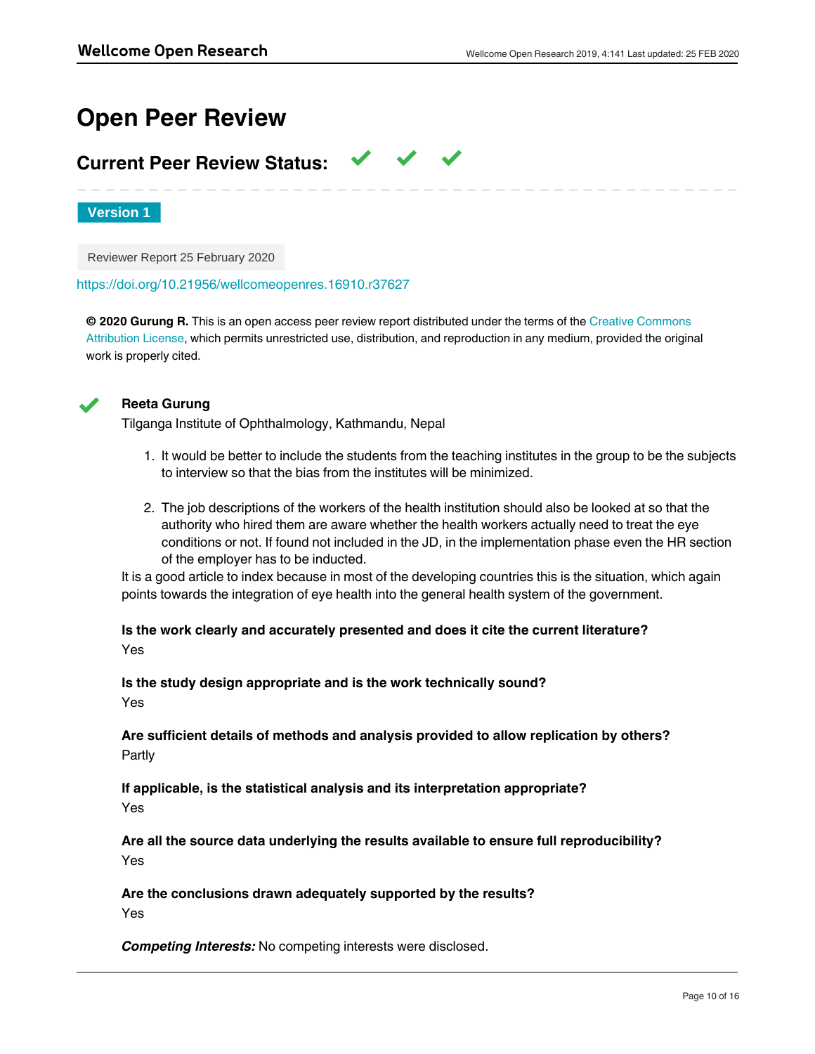# **Open Peer Review**

# **Current Peer Review Status:**

**Version 1**

Reviewer Report 25 February 2020

<https://doi.org/10.21956/wellcomeopenres.16910.r37627>

**© 2020 Gurung R.** This is an open access peer review report distributed under the terms of the [Creative Commons](https://creativecommons.org/licenses/by/4.0/) [Attribution License](https://creativecommons.org/licenses/by/4.0/), which permits unrestricted use, distribution, and reproduction in any medium, provided the original work is properly cited.

 $\checkmark$   $\checkmark$   $\checkmark$ 



## **Reeta Gurung**

Tilganga Institute of Ophthalmology, Kathmandu, Nepal

- 1. It would be better to include the students from the teaching institutes in the group to be the subjects to interview so that the bias from the institutes will be minimized.
- 2. The job descriptions of the workers of the health institution should also be looked at so that the authority who hired them are aware whether the health workers actually need to treat the eye conditions or not. If found not included in the JD, in the implementation phase even the HR section of the employer has to be inducted.

It is a good article to index because in most of the developing countries this is the situation, which again points towards the integration of eye health into the general health system of the government.

**Is the work clearly and accurately presented and does it cite the current literature?** Yes

**Is the study design appropriate and is the work technically sound?** Yes

**Are sufficient details of methods and analysis provided to allow replication by others?** Partly

**If applicable, is the statistical analysis and its interpretation appropriate?** Yes

**Are all the source data underlying the results available to ensure full reproducibility?** Yes

**Are the conclusions drawn adequately supported by the results?** Yes

*Competing Interests:* No competing interests were disclosed.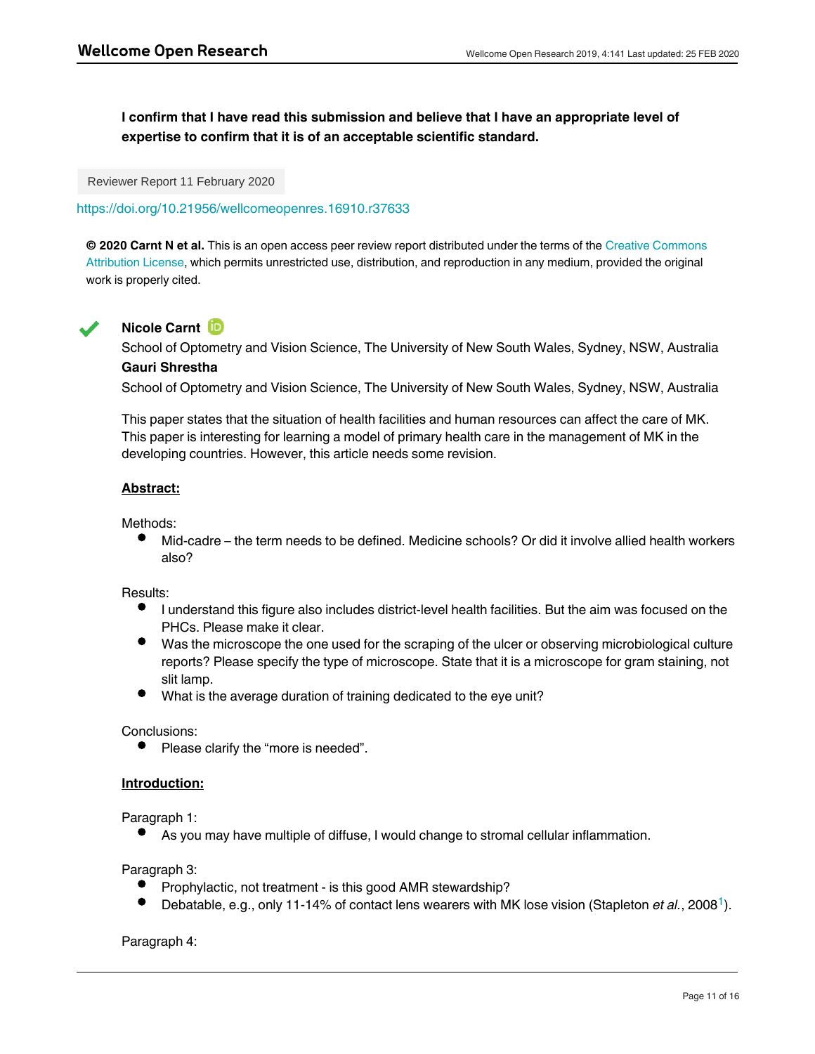**I confirm that I have read this submission and believe that I have an appropriate level of expertise to confirm that it is of an acceptable scientific standard.**

Reviewer Report 11 February 2020

<https://doi.org/10.21956/wellcomeopenres.16910.r37633>

**© 2020 Carnt N et al.** This is an open access peer review report distributed under the terms of the [Creative Commons](https://creativecommons.org/licenses/by/4.0/) [Attribution License](https://creativecommons.org/licenses/by/4.0/), which permits unrestricted use, distribution, and reproduction in any medium, provided the original work is properly cited.



## **Nicole Carnt**

School of Optometry and Vision Science, The University of New South Wales, Sydney, NSW, Australia **Gauri Shrestha**

School of Optometry and Vision Science, The University of New South Wales, Sydney, NSW, Australia

This paper states that the situation of health facilities and human resources can affect the care of MK. This paper is interesting for learning a model of primary health care in the management of MK in the developing countries. However, this article needs some revision.

## **Abstract:**

Methods:

Mid-cadre – the term needs to be defined. Medicine schools? Or did it involve allied health workers also?

Results:

- I understand this figure also includes district-level health facilities. But the aim was focused on the PHCs. Please make it clear.
- Was the microscope the one used for the scraping of the ulcer or observing microbiological culture reports? Please specify the type of microscope. State that it is a microscope for gram staining, not slit lamp.
- What is the average duration of training dedicated to the eye unit?

Conclusions:

 $\bullet$ Please clarify the "more is needed".

## **Introduction:**

Paragraph 1:

As you may have multiple of diffuse, I would change to stromal cellular inflammation.

Paragraph 3:

Prophylactic, not treatment - is this good AMR stewardship?

Why? Why? Were they given no or wrong treatment?

Debatable, e.g., only [1](#page-12-0)1-14% of contact lens wearers with MK lose vision (Stapleton *et al.*, 2008<sup>1</sup>).

Paragraph 4: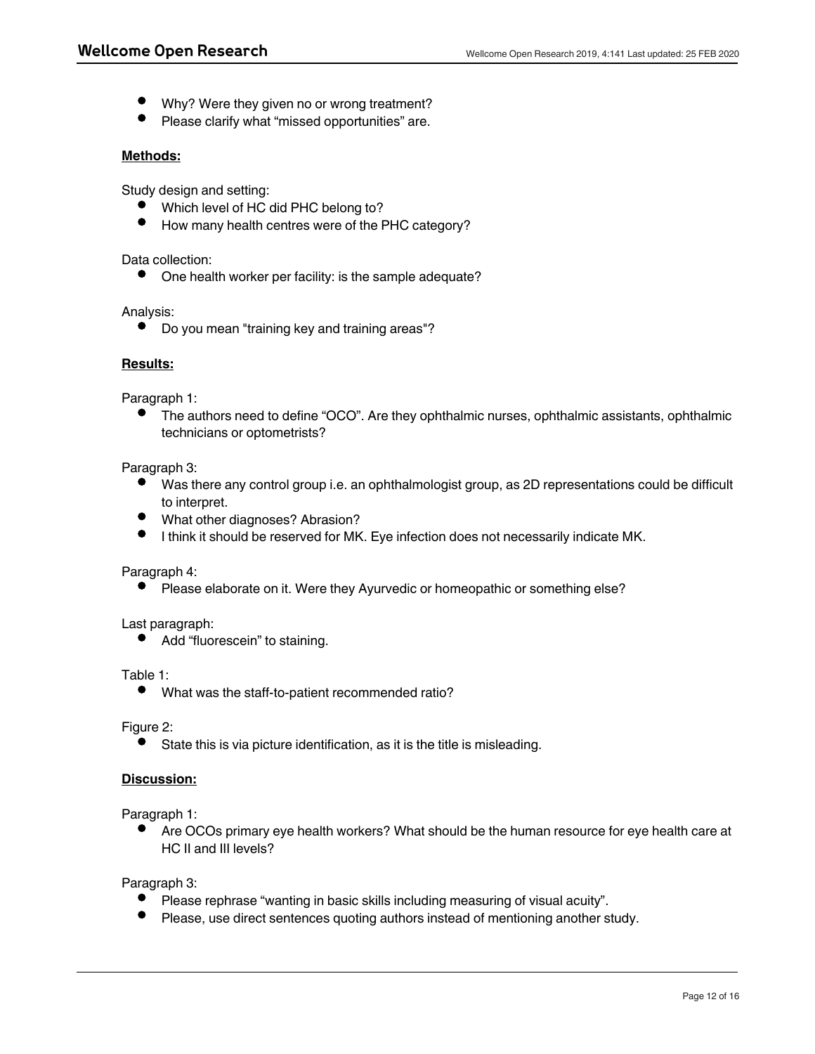- Why? Were they given no or wrong treatment?
- Please clarify what "missed opportunities" are.

## **Methods:**

Study design and setting:

- Which level of HC did PHC belong to?
- How many health centres were of the PHC category?

Data collection:

One health worker per facility: is the sample adequate?

Analysis:

 $\bullet$ Do you mean "training key and training areas"?

## **Results:**

Paragraph 1:

The authors need to define "OCO". Are they ophthalmic nurses, ophthalmic assistants, ophthalmic technicians or optometrists?

#### Paragraph 3:

- Was there any control group i.e. an ophthalmologist group, as 2D representations could be difficult to interpret.
- What other diagnoses? Abrasion?
- $\bullet$ I think it should be reserved for MK. Eye infection does not necessarily indicate MK.

## Paragraph 4:

Please elaborate on it. Were they Ayurvedic or homeopathic or something else?

## Last paragraph:

• Add "fluorescein" to staining.

#### Table 1:

 $\bullet$ What was the staff-to-patient recommended ratio?

## Figure 2:

 $\bullet$ State this is via picture identification, as it is the title is misleading.

## **Discussion:**

Paragraph 1:

Are OCOs primary eye health workers? What should be the human resource for eye health care at HC II and III levels?

Paragraph 3:

Paragraph 4:

- $\bullet$ Please rephrase "wanting in basic skills including measuring of visual acuity".
- Please, use direct sentences quoting authors instead of mentioning another study.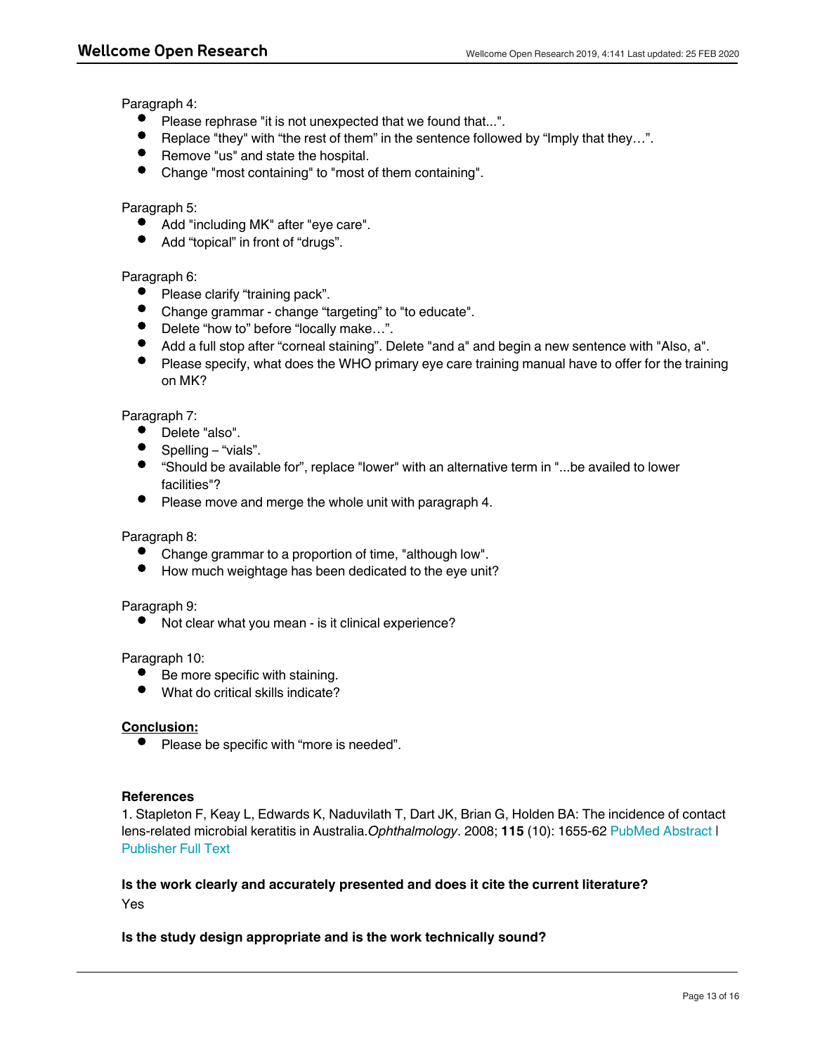Paragraph 4:

- Please rephrase "it is not unexpected that we found that...".
- Replace "they" with "the rest of them" in the sentence followed by "Imply that they...".
- Remove "us" and state the hospital.
- $\bullet$ Change "most containing" to "most of them containing".

#### Paragraph 5:

- Add "including MK" after "eye care".
- Add "topical" in front of "drugs".

## Paragraph 6:

- Please clarify "training pack".
- Change grammar change "targeting" to "to educate".
- Delete "how to" before "locally make…".
- Add a full stop after "corneal staining". Delete "and a" and begin a new sentence with "Also, a".
- Please specify, what does the WHO primary eye care training manual have to offer for the training on MK?

## Paragraph 7:

- Delete "also".
- Spelling "vials".
- "Should be available for", replace "lower" with an alternative term in "...be availed to lower facilities"?
- Please move and merge the whole unit with paragraph 4.

## Paragraph 8:

- Change grammar to a proportion of time, "although low".
- How much weightage has been dedicated to the eye unit?

#### Paragraph 9:

Not clear what you mean - is it clinical experience?

#### Paragraph 10:

- $\bullet$ Be more specific with staining.
- $\bullet$ What do critical skills indicate?

## **Conclusion:**

• Please be specific with "more is needed".

#### **References**

Yes

<span id="page-12-0"></span>1. Stapleton F, Keay L, Edwards K, Naduvilath T, Dart JK, Brian G, Holden BA: The incidence of contact lens-related microbial keratitis in Australia.*Ophthalmology*. 2008; **115** (10): 1655-62 [PubMed Abstract](http://www.ncbi.nlm.nih.gov/pubmed/18538404) | [Publisher Full Text](https://doi.org/10.1016/j.ophtha.2008.04.002)

## **Is the work clearly and accurately presented and does it cite the current literature?** Yes

## **Is the study design appropriate and is the work technically sound?**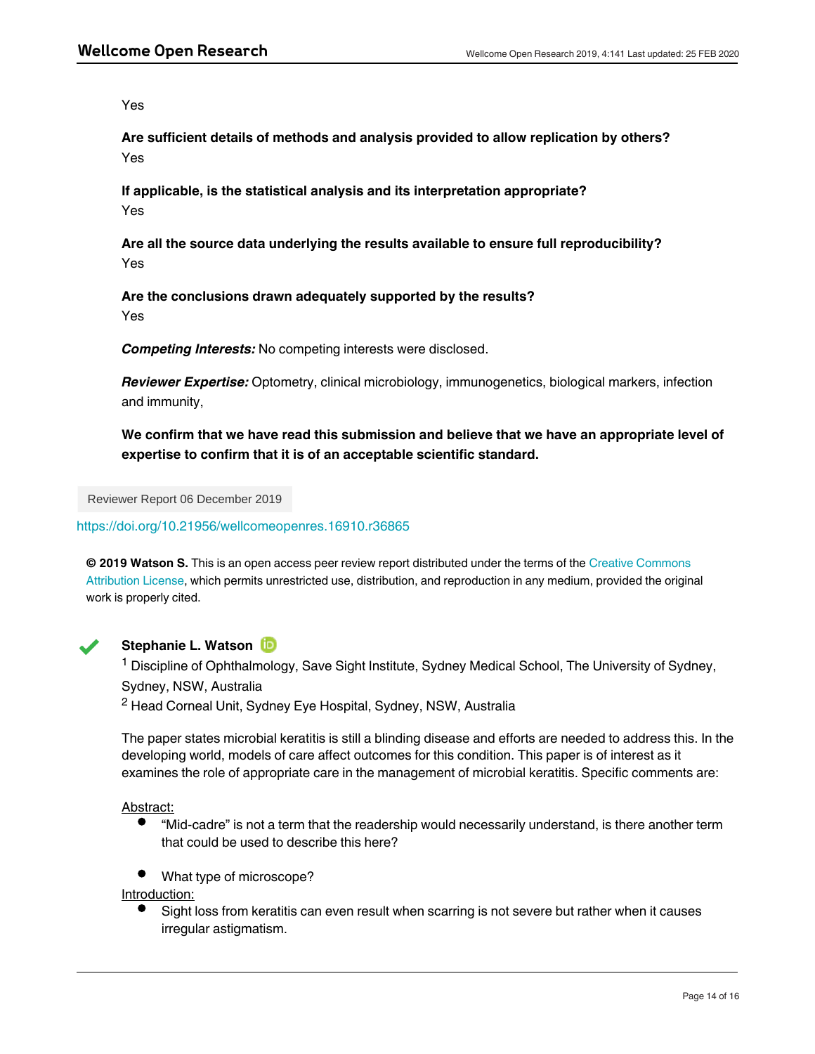Yes

**Are sufficient details of methods and analysis provided to allow replication by others?** Yes

**If applicable, is the statistical analysis and its interpretation appropriate?** Yes

**Are all the source data underlying the results available to ensure full reproducibility?** Yes

**Are the conclusions drawn adequately supported by the results?** Yes

*Competing Interests:* No competing interests were disclosed.

*Reviewer Expertise:* Optometry, clinical microbiology, immunogenetics, biological markers, infection and immunity,

**We confirm that we have read this submission and believe that we have an appropriate level of expertise to confirm that it is of an acceptable scientific standard.**

Reviewer Report 06 December 2019

<https://doi.org/10.21956/wellcomeopenres.16910.r36865>

**© 2019 Watson S.** This is an open access peer review report distributed under the terms of the [Creative Commons](https://creativecommons.org/licenses/by/4.0/) [Attribution License](https://creativecommons.org/licenses/by/4.0/), which permits unrestricted use, distribution, and reproduction in any medium, provided the original work is properly cited.



## **Stephanie L. Watson**

<sup>1</sup> Discipline of Ophthalmology, Save Sight Institute, Sydney Medical School, The University of Sydney, Sydney, NSW, Australia

<sup>2</sup> Head Corneal Unit, Sydney Eye Hospital, Sydney, NSW, Australia

The paper states microbial keratitis is still a blinding disease and efforts are needed to address this. In the developing world, models of care affect outcomes for this condition. This paper is of interest as it examines the role of appropriate care in the management of microbial keratitis. Specific comments are:

Abstract:

- "Mid-cadre" is not a term that the readership would necessarily understand, is there another term that could be used to describe this here?
- What type of microscope?

Introduction:

Sight loss from keratitis can even result when scarring is not severe but rather when it causes irregular astigmatism.

Clarify the link between microbial keratitis, corneal abrasion and corneal ulcer.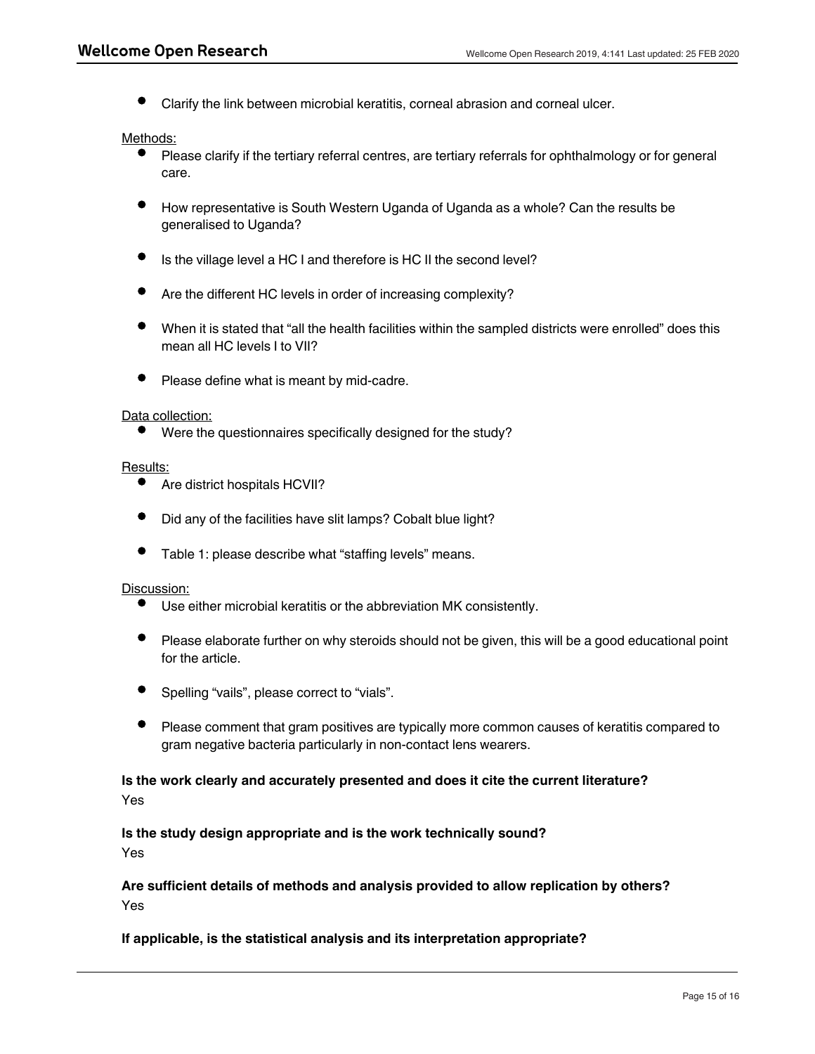Clarify the link between microbial keratitis, corneal abrasion and corneal ulcer.

#### Methods:

- Please clarify if the tertiary referral centres, are tertiary referrals for ophthalmology or for general care.
- How representative is South Western Uganda of Uganda as a whole? Can the results be generalised to Uganda?
- Is the village level a HC I and therefore is HC II the second level?
- Are the different HC levels in order of increasing complexity?
- When it is stated that "all the health facilities within the sampled districts were enrolled" does this mean all HC levels I to VII?
- Please define what is meant by mid-cadre.

#### Data collection:

Were the questionnaires specifically designed for the study?

#### Results:

- Are district hospitals HCVII?
- Did any of the facilities have slit lamps? Cobalt blue light?
- Table 1: please describe what "staffing levels" means.

#### Discussion:

- Use either microbial keratitis or the abbreviation MK consistently.
- Please elaborate further on why steroids should not be given, this will be a good educational point for the article.
- Spelling "vails", please correct to "vials".
- Please comment that gram positives are typically more common causes of keratitis compared to gram negative bacteria particularly in non-contact lens wearers.

# **Is the work clearly and accurately presented and does it cite the current literature?**

Yes

**Is the study design appropriate and is the work technically sound?**

Yes

Yes

## **Are sufficient details of methods and analysis provided to allow replication by others?** Yes

## **If applicable, is the statistical analysis and its interpretation appropriate?**